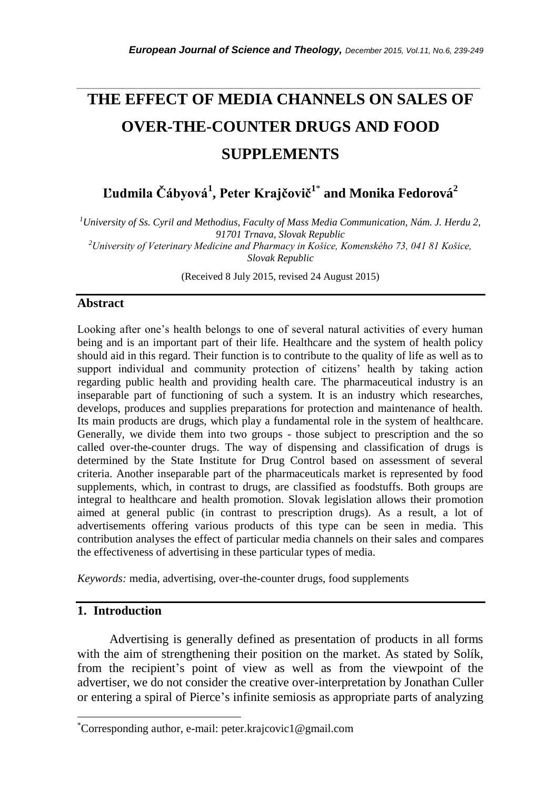# **THE EFFECT OF MEDIA CHANNELS ON SALES OF OVER-THE-COUNTER DRUGS AND FOOD SUPPLEMENTS**

*\_\_\_\_\_\_\_\_\_\_\_\_\_\_\_\_\_\_\_\_\_\_\_\_\_\_\_\_\_\_\_\_\_\_\_\_\_\_\_\_\_\_\_\_\_\_\_\_\_\_\_\_\_\_\_\_\_\_\_\_\_\_\_\_\_\_\_\_\_\_\_*

**Ľudmila Čábyová<sup>1</sup> , Peter Krajčovič<sup>1</sup>**\* **and Monika Fedorová<sup>2</sup>**

*<sup>1</sup>University of Ss. Cyril and Methodius, Faculty of Mass Media Communication, Nám. J. Herdu 2, 91701 Trnava, Slovak Republic <sup>2</sup>University of Veterinary Medicine and Pharmacy in Košice, Komenského 73, 041 81 Košice, Slovak Republic*

(Received 8 July 2015, revised 24 August 2015)

#### **Abstract**

Looking after one's health belongs to one of several natural activities of every human being and is an important part of their life. Healthcare and the system of health policy should aid in this regard. Their function is to contribute to the quality of life as well as to support individual and community protection of citizens' health by taking action regarding public health and providing health care. The pharmaceutical industry is an inseparable part of functioning of such a system. It is an industry which researches, develops, produces and supplies preparations for protection and maintenance of health. Its main products are drugs, which play a fundamental role in the system of healthcare. Generally, we divide them into two groups - those subject to prescription and the so called over-the-counter drugs. The way of dispensing and classification of drugs is determined by the State Institute for Drug Control based on assessment of several criteria. Another inseparable part of the pharmaceuticals market is represented by food supplements, which, in contrast to drugs, are classified as foodstuffs. Both groups are integral to healthcare and health promotion. Slovak legislation allows their promotion aimed at general public (in contrast to prescription drugs). As a result, a lot of advertisements offering various products of this type can be seen in media. This contribution analyses the effect of particular media channels on their sales and compares the effectiveness of advertising in these particular types of media.

*Keywords:* media, advertising, over-the-counter drugs, food supplements

# **1. Introduction**

l

Advertising is generally defined as presentation of products in all forms with the aim of strengthening their position on the market. As stated by Solík, from the recipient's point of view as well as from the viewpoint of the advertiser, we do not consider the creative over-interpretation by Jonathan Culler or entering a spiral of Pierce's infinite semiosis as appropriate parts of analyzing

<sup>\*</sup>Corresponding author, e-mail: peter.krajcovic1@gmail.com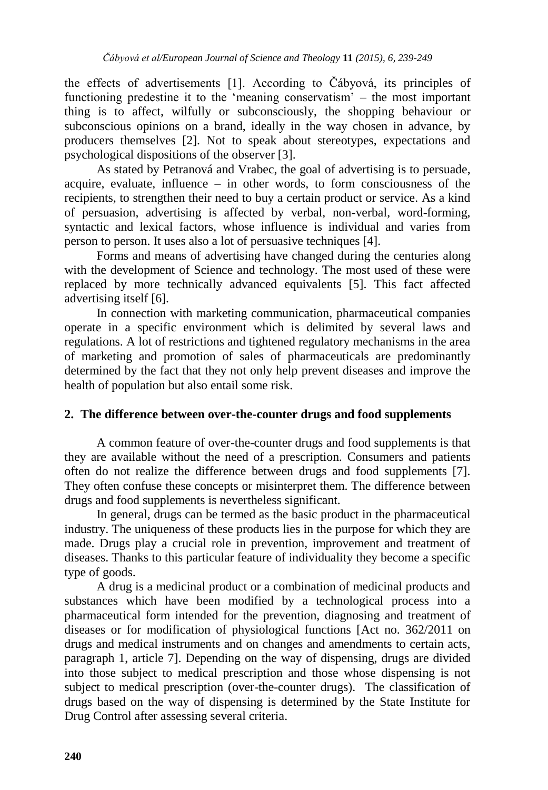the effects of advertisements [1]. According to Čábyová, its principles of functioning predestine it to the 'meaning conservatism' – the most important thing is to affect, wilfully or subconsciously, the shopping behaviour or subconscious opinions on a brand, ideally in the way chosen in advance, by producers themselves [2]. Not to speak about stereotypes, expectations and psychological dispositions of the observer [3].

As stated by Petranová and Vrabec, the goal of advertising is to persuade, acquire, evaluate, influence – in other words, to form consciousness of the recipients, to strengthen their need to buy a certain product or service. As a kind of persuasion, advertising is affected by verbal, non-verbal, word-forming, syntactic and lexical factors, whose influence is individual and varies from person to person. It uses also a lot of persuasive techniques [4].

Forms and means of advertising have changed during the centuries along with the development of Science and technology. The most used of these were replaced by more technically advanced equivalents [5]. This fact affected advertising itself [6].

In connection with marketing communication, pharmaceutical companies operate in a specific environment which is delimited by several laws and regulations. A lot of restrictions and tightened regulatory mechanisms in the area of marketing and promotion of sales of pharmaceuticals are predominantly determined by the fact that they not only help prevent diseases and improve the health of population but also entail some risk.

## **2. The difference between over-the-counter drugs and food supplements**

A common feature of over-the-counter drugs and food supplements is that they are available without the need of a prescription. Consumers and patients often do not realize the difference between drugs and food supplements [7]. They often confuse these concepts or misinterpret them. The difference between drugs and food supplements is nevertheless significant.

In general, drugs can be termed as the basic product in the pharmaceutical industry. The uniqueness of these products lies in the purpose for which they are made. Drugs play a crucial role in prevention, improvement and treatment of diseases. Thanks to this particular feature of individuality they become a specific type of goods.

A drug is a medicinal product or a combination of medicinal products and substances which have been modified by a technological process into a pharmaceutical form intended for the prevention, diagnosing and treatment of diseases or for modification of physiological functions [Act no. 362/2011 on drugs and medical instruments and on changes and amendments to certain acts, paragraph 1, article 7]. Depending on the way of dispensing, drugs are divided into those subject to medical prescription and those whose dispensing is not subject to medical prescription (over-the-counter drugs). The classification of drugs based on the way of dispensing is determined by the State Institute for Drug Control after assessing several criteria.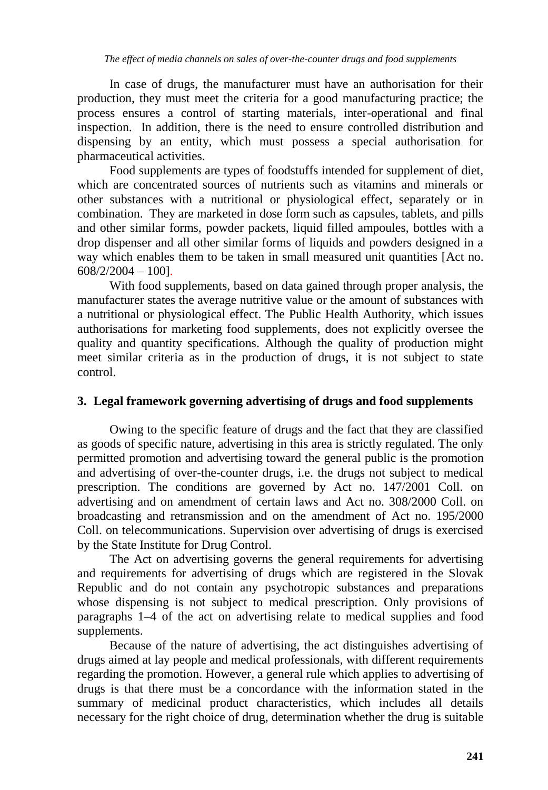In case of drugs, the manufacturer must have an authorisation for their production, they must meet the criteria for a good manufacturing practice; the process ensures a control of starting materials, inter-operational and final inspection. In addition, there is the need to ensure controlled distribution and dispensing by an entity, which must possess a special authorisation for pharmaceutical activities.

Food supplements are types of foodstuffs intended for supplement of diet, which are concentrated sources of nutrients such as vitamins and minerals or other substances with a nutritional or physiological effect, separately or in combination. They are marketed in dose form such as capsules, tablets, and pills and other similar forms, powder packets, liquid filled ampoules, bottles with a drop dispenser and all other similar forms of liquids and powders designed in a way which enables them to be taken in small measured unit quantities [Act no. 608/2/2004 – 100].

With food supplements, based on data gained through proper analysis, the manufacturer states the average nutritive value or the amount of substances with a nutritional or physiological effect. The Public Health Authority, which issues authorisations for marketing food supplements, does not explicitly oversee the quality and quantity specifications. Although the quality of production might meet similar criteria as in the production of drugs, it is not subject to state control.

# **3. Legal framework governing advertising of drugs and food supplements**

Owing to the specific feature of drugs and the fact that they are classified as goods of specific nature, advertising in this area is strictly regulated. The only permitted promotion and advertising toward the general public is the promotion and advertising of over-the-counter drugs, i.e. the drugs not subject to medical prescription. The conditions are governed by Act no. 147/2001 Coll. on advertising and on amendment of certain laws and Act no. 308/2000 Coll. on broadcasting and retransmission and on the amendment of Act no. 195/2000 Coll. on telecommunications. Supervision over advertising of drugs is exercised by the State Institute for Drug Control.

The Act on advertising governs the general requirements for advertising and requirements for advertising of drugs which are registered in the Slovak Republic and do not contain any psychotropic substances and preparations whose dispensing is not subject to medical prescription. Only provisions of paragraphs 1–4 of the act on advertising relate to medical supplies and food supplements.

Because of the nature of advertising, the act distinguishes advertising of drugs aimed at lay people and medical professionals, with different requirements regarding the promotion. However, a general rule which applies to advertising of drugs is that there must be a concordance with the information stated in the summary of medicinal product characteristics, which includes all details necessary for the right choice of drug, determination whether the drug is suitable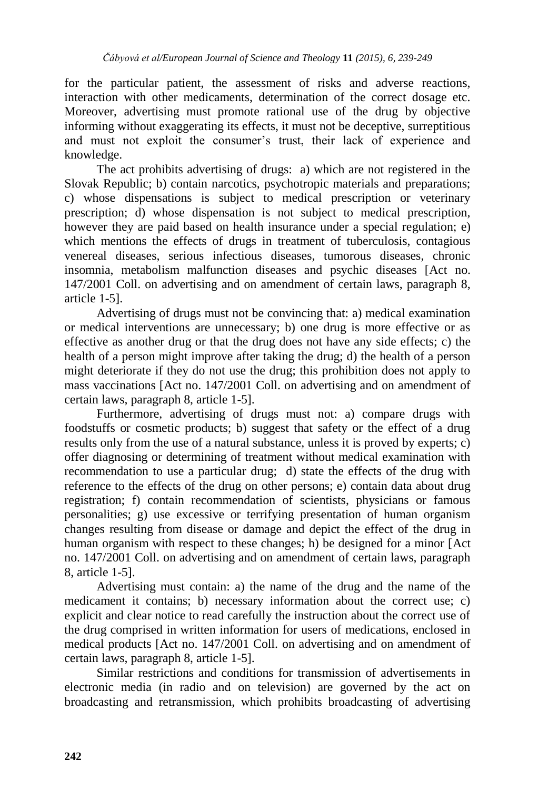for the particular patient, the assessment of risks and adverse reactions, interaction with other medicaments, determination of the correct dosage etc. Moreover, advertising must promote rational use of the drug by objective informing without exaggerating its effects, it must not be deceptive, surreptitious and must not exploit the consumer's trust, their lack of experience and knowledge.

The act prohibits advertising of drugs: a) which are not registered in the Slovak Republic; b) contain narcotics, psychotropic materials and preparations; c) whose dispensations is subject to medical prescription or veterinary prescription; d) whose dispensation is not subject to medical prescription, however they are paid based on health insurance under a special regulation; e) which mentions the effects of drugs in treatment of tuberculosis, contagious venereal diseases, serious infectious diseases, tumorous diseases, chronic insomnia, metabolism malfunction diseases and psychic diseases [Act no. 147/2001 Coll. on advertising and on amendment of certain laws, paragraph 8, article 1-5].

Advertising of drugs must not be convincing that: a) medical examination or medical interventions are unnecessary; b) one drug is more effective or as effective as another drug or that the drug does not have any side effects; c) the health of a person might improve after taking the drug; d) the health of a person might deteriorate if they do not use the drug; this prohibition does not apply to mass vaccinations [Act no. 147/2001 Coll. on advertising and on amendment of certain laws, paragraph 8, article 1-5].

Furthermore, advertising of drugs must not: a) compare drugs with foodstuffs or cosmetic products; b) suggest that safety or the effect of a drug results only from the use of a natural substance, unless it is proved by experts; c) offer diagnosing or determining of treatment without medical examination with recommendation to use a particular drug; d) state the effects of the drug with reference to the effects of the drug on other persons; e) contain data about drug registration; f) contain recommendation of scientists, physicians or famous personalities; g) use excessive or terrifying presentation of human organism changes resulting from disease or damage and depict the effect of the drug in human organism with respect to these changes; h) be designed for a minor [Act] no. 147/2001 Coll. on advertising and on amendment of certain laws, paragraph 8, article 1-5].

Advertising must contain: a) the name of the drug and the name of the medicament it contains; b) necessary information about the correct use; c) explicit and clear notice to read carefully the instruction about the correct use of the drug comprised in written information for users of medications, enclosed in medical products [Act no. 147/2001 Coll. on advertising and on amendment of certain laws, paragraph 8, article 1-5].

Similar restrictions and conditions for transmission of advertisements in electronic media (in radio and on television) are governed by the act on broadcasting and retransmission, which prohibits broadcasting of advertising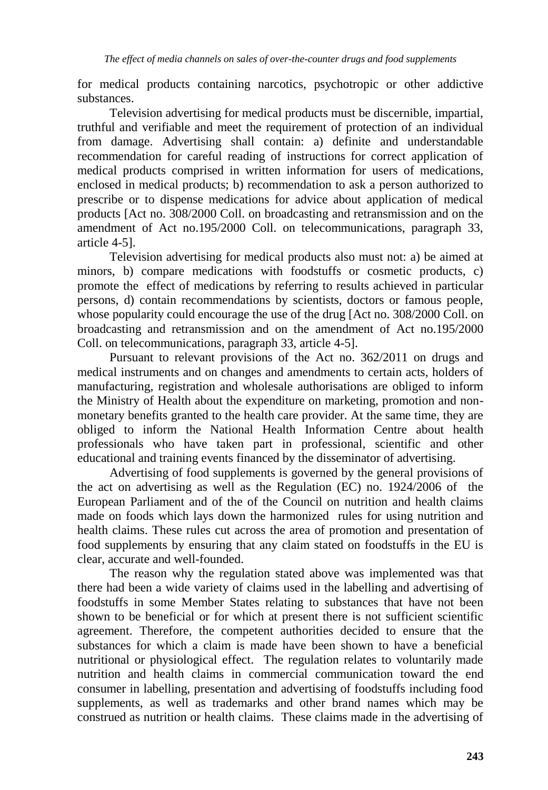for medical products containing narcotics, psychotropic or other addictive substances.

Television advertising for medical products must be discernible, impartial, truthful and verifiable and meet the requirement of protection of an individual from damage. Advertising shall contain: a) definite and understandable recommendation for careful reading of instructions for correct application of medical products comprised in written information for users of medications, enclosed in medical products; b) recommendation to ask a person authorized to prescribe or to dispense medications for advice about application of medical products [Act no. 308/2000 Coll. on broadcasting and retransmission and on the amendment of Act no.195/2000 Coll. on telecommunications, paragraph 33, article 4-5].

Television advertising for medical products also must not: a) be aimed at minors, b) compare medications with foodstuffs or cosmetic products, c) promote the effect of medications by referring to results achieved in particular persons, d) contain recommendations by scientists, doctors or famous people, whose popularity could encourage the use of the drug [Act no. 308/2000 Coll. on broadcasting and retransmission and on the amendment of Act no.195/2000 Coll. on telecommunications, paragraph 33, article 4-5].

Pursuant to relevant provisions of the Act no. 362/2011 on drugs and medical instruments and on changes and amendments to certain acts, holders of manufacturing, registration and wholesale authorisations are obliged to inform the Ministry of Health about the expenditure on marketing, promotion and nonmonetary benefits granted to the health care provider. At the same time, they are obliged to inform the National Health Information Centre about health professionals who have taken part in professional, scientific and other educational and training events financed by the disseminator of advertising.

Advertising of food supplements is governed by the general provisions of the act on advertising as well as the Regulation (EC) no. 1924/2006 of the European Parliament and of the of the Council on nutrition and health claims made on foods which lays down the harmonized rules for using nutrition and health claims. These rules cut across the area of promotion and presentation of food supplements by ensuring that any claim stated on foodstuffs in the EU is clear, accurate and well-founded.

The reason why the regulation stated above was implemented was that there had been a wide variety of claims used in the labelling and advertising of foodstuffs in some Member States relating to substances that have not been shown to be beneficial or for which at present there is not sufficient scientific agreement. Therefore, the competent authorities decided to ensure that the substances for which a claim is made have been shown to have a beneficial nutritional or physiological effect. The regulation relates to voluntarily made nutrition and health claims in commercial communication toward the end consumer in labelling, presentation and advertising of foodstuffs including food supplements, as well as trademarks and other brand names which may be construed as nutrition or health claims. These claims made in the advertising of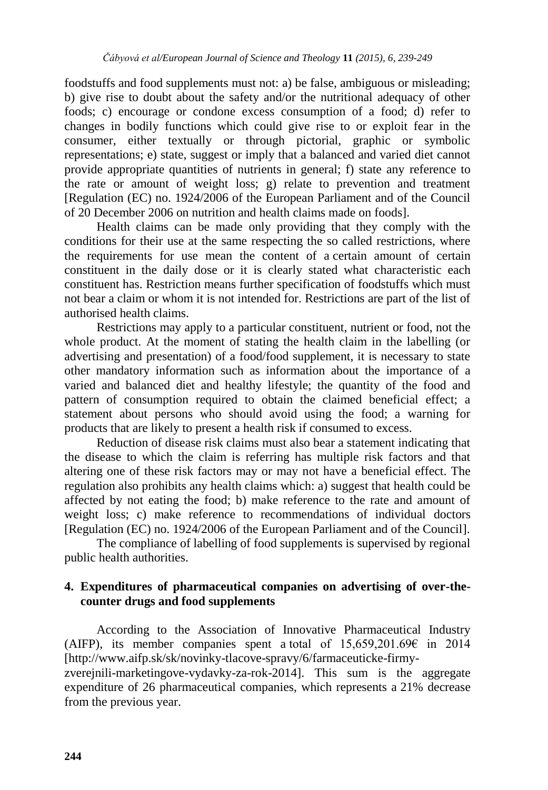foodstuffs and food supplements must not: a) be false, ambiguous or misleading; b) give rise to doubt about the safety and/or the nutritional adequacy of other foods; c) encourage or condone excess consumption of a food; d) refer to changes in bodily functions which could give rise to or exploit fear in the consumer, either textually or through pictorial, graphic or symbolic representations; e) state, suggest or imply that a balanced and varied diet cannot provide appropriate quantities of nutrients in general; f) state any reference to the rate or amount of weight loss; g) relate to prevention and treatment [Regulation (EC) no. 1924/2006 of the European Parliament and of the Council of 20 December 2006 on nutrition and health claims made on foods].

Health claims can be made only providing that they comply with the conditions for their use at the same respecting the so called restrictions, where the requirements for use mean the content of a certain amount of certain constituent in the daily dose or it is clearly stated what characteristic each constituent has. Restriction means further specification of foodstuffs which must not bear a claim or whom it is not intended for. Restrictions are part of the list of authorised health claims.

Restrictions may apply to a particular constituent, nutrient or food, not the whole product. At the moment of stating the health claim in the labelling (or advertising and presentation) of a food/food supplement, it is necessary to state other mandatory information such as information about the importance of a varied and balanced diet and healthy lifestyle; the quantity of the food and pattern of consumption required to obtain the claimed beneficial effect; a statement about persons who should avoid using the food; a warning for products that are likely to present a health risk if consumed to excess.

Reduction of disease risk claims must also bear a statement indicating that the disease to which the claim is referring has multiple risk factors and that altering one of these risk factors may or may not have a beneficial effect. The regulation also prohibits any health claims which: a) suggest that health could be affected by not eating the food; b) make reference to the rate and amount of weight loss; c) make reference to recommendations of individual doctors [Regulation (EC) no. 1924/2006 of the European Parliament and of the Council].

The compliance of labelling of food supplements is supervised by regional public health authorities.

## **4. Expenditures of pharmaceutical companies on advertising of over-thecounter drugs and food supplements**

According to the Association of Innovative Pharmaceutical Industry (AIFP), its member companies spent a total of  $15,659,201.69 \text{ }$  in 2014 [http://www.aifp.sk/sk/novinky-tlacove-spravy/6/farmaceuticke-firmyzverejnili-marketingove-vydavky-za-rok-2014]. This sum is the aggregate expenditure of 26 pharmaceutical companies, which represents a 21% decrease from the previous year.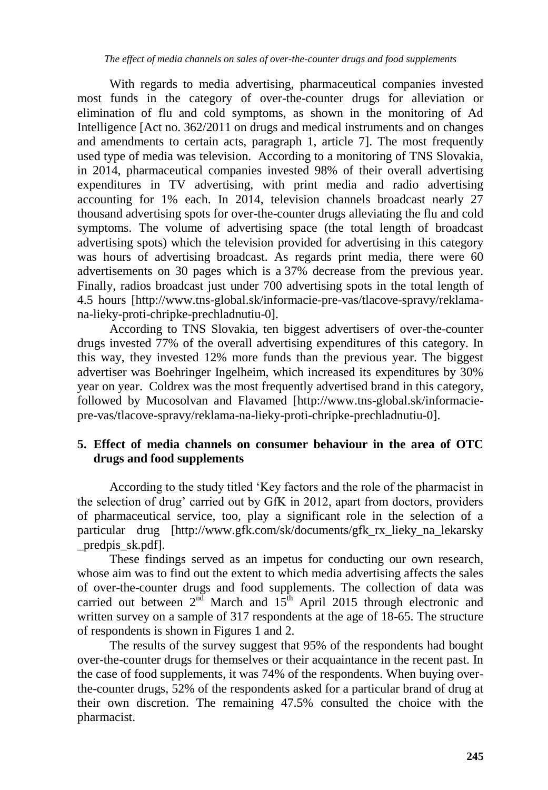With regards to media advertising, pharmaceutical companies invested most funds in the category of over-the-counter drugs for alleviation or elimination of flu and cold symptoms, as shown in the monitoring of Ad Intelligence [Act no. 362/2011 on drugs and medical instruments and on changes and amendments to certain acts, paragraph 1, article 7]. The most frequently used type of media was television. According to a monitoring of TNS Slovakia, in 2014, pharmaceutical companies invested 98% of their overall advertising expenditures in TV advertising, with print media and radio advertising accounting for 1% each. In 2014, television channels broadcast nearly 27 thousand advertising spots for over-the-counter drugs alleviating the flu and cold symptoms. The volume of advertising space (the total length of broadcast advertising spots) which the television provided for advertising in this category was hours of advertising broadcast. As regards print media, there were 60 advertisements on 30 pages which is a 37% decrease from the previous year. Finally, radios broadcast just under 700 advertising spots in the total length of 4.5 hours [http://www.tns-global.sk/informacie-pre-vas/tlacove-spravy/reklamana-lieky-proti-chripke-prechladnutiu-0].

According to TNS Slovakia, ten biggest advertisers of over-the-counter drugs invested 77% of the overall advertising expenditures of this category. In this way, they invested 12% more funds than the previous year. The biggest advertiser was Boehringer Ingelheim, which increased its expenditures by 30% year on year. Coldrex was the most frequently advertised brand in this category, followed by Mucosolvan and Flavamed [http://www.tns-global.sk/informaciepre-vas/tlacove-spravy/reklama-na-lieky-proti-chripke-prechladnutiu-0].

# **5. Effect of media channels on consumer behaviour in the area of OTC drugs and food supplements**

According to the study titled 'Key factors and the role of the pharmacist in the selection of drug' carried out by GfK in 2012, apart from doctors, providers of pharmaceutical service, too, play a significant role in the selection of a particular drug [http://www.gfk.com/sk/documents/gfk\_rx\_lieky\_na\_lekarsky \_predpis\_sk.pdf].

These findings served as an impetus for conducting our own research, whose aim was to find out the extent to which media advertising affects the sales of over-the-counter drugs and food supplements. The collection of data was carried out between  $2<sup>n\overline{d}</sup>$  March and  $15<sup>th</sup>$  April 2015 through electronic and written survey on a sample of 317 respondents at the age of 18-65. The structure of respondents is shown in Figures 1 and 2.

The results of the survey suggest that 95% of the respondents had bought over-the-counter drugs for themselves or their acquaintance in the recent past. In the case of food supplements, it was 74% of the respondents. When buying overthe-counter drugs, 52% of the respondents asked for a particular brand of drug at their own discretion. The remaining 47.5% consulted the choice with the pharmacist.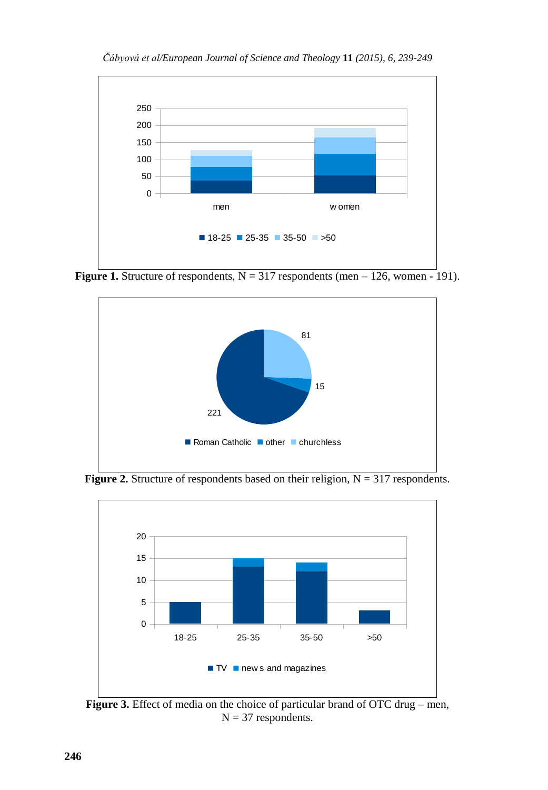

**Figure 1.** Structure of respondents,  $N = 317$  respondents (men – 126, women - 191).



**Figure 2.** Structure of respondents based on their religion,  $N = 317$  respondents.



Figure 3. Effect of media on the choice of particular brand of OTC drug – men,  $N = 37$  respondents.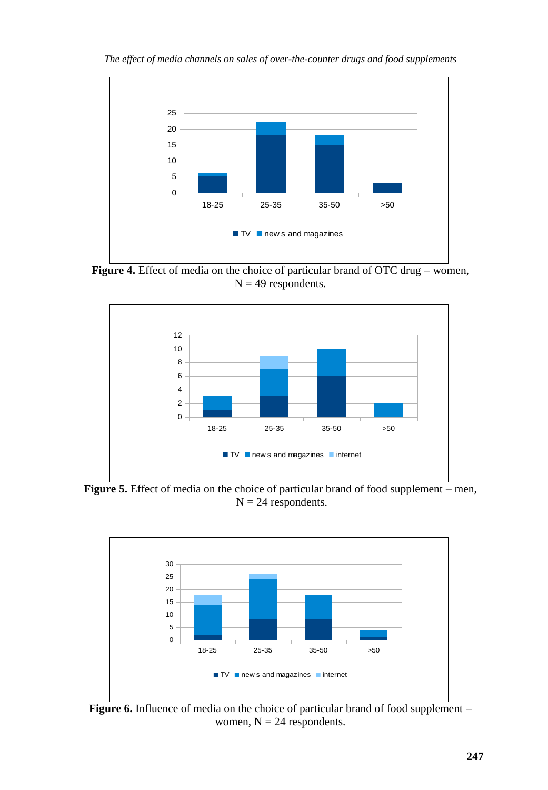

*The effect of media channels on sales of over-the-counter drugs and food supplements*

Figure 4. Effect of media on the choice of particular brand of OTC drug – women,  $N = 49$  respondents.



Figure 5. Effect of media on the choice of particular brand of food supplement – men,  $N = 24$  respondents.



**Figure 6.** Influence of media on the choice of particular brand of food supplement – women,  $N = 24$  respondents.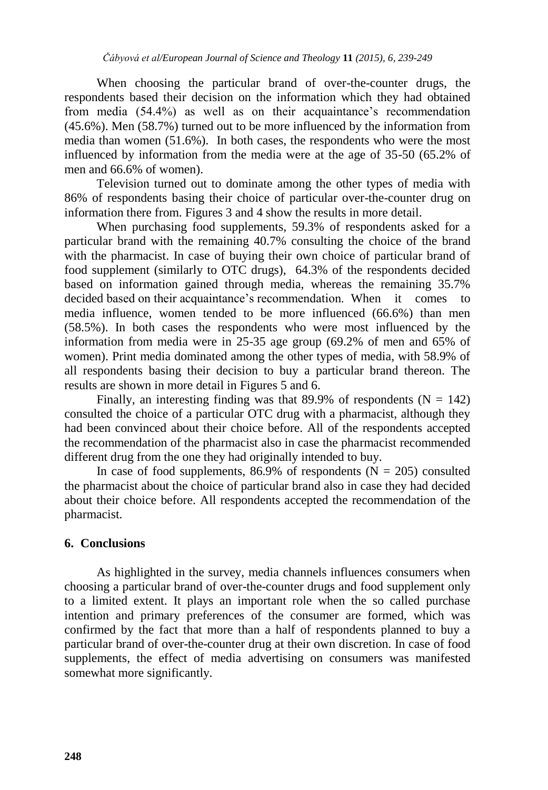When choosing the particular brand of over-the-counter drugs, the respondents based their decision on the information which they had obtained from media (54.4%) as well as on their acquaintance's recommendation (45.6%). Men (58.7%) turned out to be more influenced by the information from media than women (51.6%). In both cases, the respondents who were the most influenced by information from the media were at the age of 35-50 (65.2% of men and 66.6% of women).

Television turned out to dominate among the other types of media with 86% of respondents basing their choice of particular over-the-counter drug on information there from. Figures 3 and 4 show the results in more detail.

When purchasing food supplements, 59.3% of respondents asked for a particular brand with the remaining 40.7% consulting the choice of the brand with the pharmacist. In case of buying their own choice of particular brand of food supplement (similarly to OTC drugs), 64.3% of the respondents decided based on information gained through media, whereas the remaining 35.7% decided based on their acquaintance's recommendation. When it comes to media influence, women tended to be more influenced (66.6%) than men (58.5%). In both cases the respondents who were most influenced by the information from media were in 25-35 age group (69.2% of men and 65% of women). Print media dominated among the other types of media, with 58.9% of all respondents basing their decision to buy a particular brand thereon. The results are shown in more detail in Figures 5 and 6.

Finally, an interesting finding was that 89.9% of respondents  $(N = 142)$ consulted the choice of a particular OTC drug with a pharmacist, although they had been convinced about their choice before. All of the respondents accepted the recommendation of the pharmacist also in case the pharmacist recommended different drug from the one they had originally intended to buy.

In case of food supplements, 86.9% of respondents ( $N = 205$ ) consulted the pharmacist about the choice of particular brand also in case they had decided about their choice before. All respondents accepted the recommendation of the pharmacist.

#### **6. Conclusions**

As highlighted in the survey, media channels influences consumers when choosing a particular brand of over-the-counter drugs and food supplement only to a limited extent. It plays an important role when the so called purchase intention and primary preferences of the consumer are formed, which was confirmed by the fact that more than a half of respondents planned to buy a particular brand of over-the-counter drug at their own discretion. In case of food supplements, the effect of media advertising on consumers was manifested somewhat more significantly.